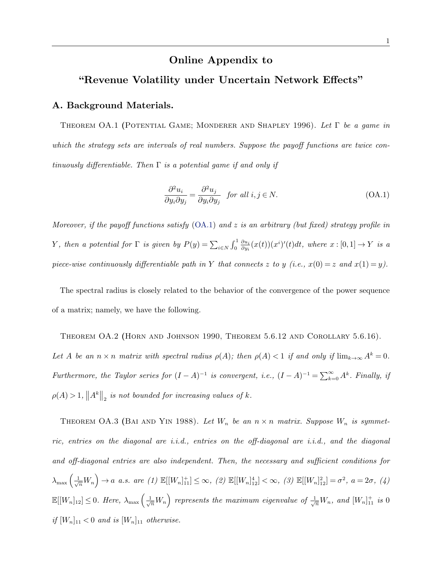# Online Appendix to

# "Revenue Volatility under Uncertain Network Effects"

## A. Background Materials.

Theorem OA.1 (Potential Game; Monderer and Shapley 1996). *Let be a game in* which the strategy sets are intervals of real numbers. Suppose the payoff functions are twice con*tinuously differentiable. Then*  $\Gamma$  *is a potential game if and only if* 

$$
\frac{\partial^2 u_i}{\partial y_i \partial y_j} = \frac{\partial^2 u_j}{\partial y_i \partial y_j} \quad \text{for all } i, j \in \mathbb{N}.
$$
 (OA.1)

*Moreover, if the payoff functions satisfy* (OA.1) *and z is an arbitrary (but fixed) strategy profile in Y*, then a potential for  $\Gamma$  is given by  $P(y) = \sum_{i \in N} \int_0^1 \frac{\partial u_i}{\partial y_i}$  $\frac{\partial u_i}{\partial y_i}(x(t))(x^i)'(t)dt$ , where  $x:[0,1] \rightarrow Y$  is a *piece-wise continuously differentiable path in Y that connects z to y* (*i.e.,*  $x(0) = z$  *and*  $x(1) = y$ ).

The spectral radius is closely related to the behavior of the convergence of the power sequence of a matrix; namely, we have the following.

Theorem OA.2 (Horn and Johnson 1990, Theorem 5.6.12 and Corollary 5.6.16). *Let A be an*  $n \times n$  *matrix with spectral radius*  $\rho(A)$ ; *then*  $\rho(A) < 1$  *if and only if*  $\lim_{k \to \infty} A^k = 0$ *. Furthermore, the Taylor series for*  $(I - A)^{-1}$  *is convergent, i.e.,*  $(I - A)^{-1} = \sum_{k=0}^{\infty} A^k$ *. Finally, if*  $\rho(A) > 1, \|A^k\|_2$  *is not bounded for increasing values of k.* 

THEOREM OA.3 (BAI AND YIN 1988). Let  $W_n$  be an  $n \times n$  matrix. Suppose  $W_n$  is symmet*ric, entries on the diagonal are i.i.d., entries on the off-diagonal are i.i.d., and the diagonal* and off-diagonal entries are also independent. Then, the necessary and sufficient conditions for  $\lambda_{\max}\left(\frac{1}{\sqrt{n}}W_n\right) \to a \text{ a.s. are (1) } \mathbb{E}[[W_n]_{11}^+] \leq \infty, (2) \mathbb{E}[[W_n]_{12}^4] < \infty, (3) \mathbb{E}[[W_n]_{12}^2] = \sigma^2, a = 2\sigma, (4)$  $\mathbb{E}[[W_n]_{12}] \leq 0$ . Here,  $\lambda_{\max} \left( \frac{1}{\sqrt{n}} W_n \right)$  represents the maximum eigenvalue of  $\frac{1}{\sqrt{n}} W_n$ , and  $[W_n]_{11}^+$  is 0 *if*  $[W_n]_{11} < 0$  *and is*  $[W_n]_{11}$  *otherwise.*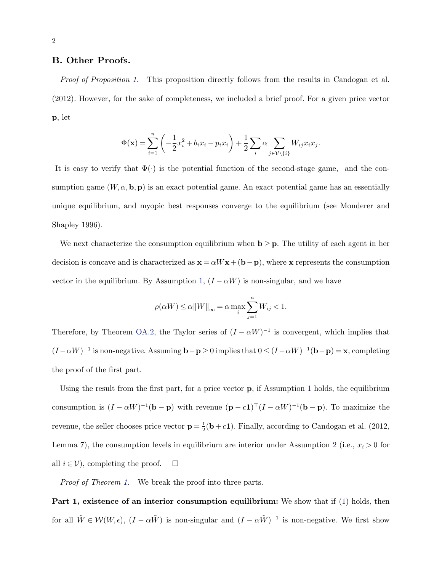# B. Other Proofs.

*Proof of Proposition 1.* This proposition directly follows from the results in Candogan et al. (2012). However, for the sake of completeness, we included a brief proof. For a given price vector p, let

$$
\Phi(\mathbf{x}) = \sum_{i=1}^n \left( -\frac{1}{2}x_i^2 + b_i x_i - p_i x_i \right) + \frac{1}{2} \sum_i \alpha \sum_{j \in \mathcal{V} \backslash \{i\}} W_{ij} x_i x_j.
$$

It is easy to verify that  $\Phi(\cdot)$  is the potential function of the second-stage game, and the consumption game  $(W, \alpha, \mathbf{b}, \mathbf{p})$  is an exact potential game. An exact potential game has an essentially unique equilibrium, and myopic best responses converge to the equilibrium (see Monderer and Shapley 1996).

We next characterize the consumption equilibrium when  $\mathbf{b} \geq \mathbf{p}$ . The utility of each agent in her decision is concave and is characterized as  $\mathbf{x} = \alpha W \mathbf{x} + (\mathbf{b} - \mathbf{p})$ , where x represents the consumption vector in the equilibrium. By Assumption 1,  $(I - \alpha W)$  is non-singular, and we have

$$
\rho(\alpha W) \le \alpha \|W\|_{\infty} = \alpha \max_{i} \sum_{j=1}^{n} W_{ij} < 1.
$$

Therefore, by Theorem OA.2, the Taylor series of  $(I - \alpha W)^{-1}$  is convergent, which implies that  $(I - \alpha W)^{-1}$  is non-negative. Assuming  $\mathbf{b} - \mathbf{p} \ge 0$  implies that  $0 \le (I - \alpha W)^{-1}(\mathbf{b} - \mathbf{p}) = \mathbf{x}$ , completing the proof of the first part.

Using the result from the first part, for a price vector  $\bf{p}$ , if Assumption 1 holds, the equilibrium consumption is  $(I - \alpha W)^{-1}(\mathbf{b} - \mathbf{p})$  with revenue  $(\mathbf{p} - c\mathbf{1})^{\top}(I - \alpha W)^{-1}(\mathbf{b} - \mathbf{p})$ . To maximize the revenue, the seller chooses price vector  $\mathbf{p} = \frac{1}{2}(\mathbf{b} + c\mathbf{1})$ . Finally, according to Candogan et al. (2012, Lemma 7), the consumption levels in equilibrium are interior under Assumption 2 (i.e.,  $x_i > 0$  for all  $i \in V$ ), completing the proof.  $\Box$ 

*Proof of Theorem 1.* We break the proof into three parts.

Part 1, existence of an interior consumption equilibrium: We show that if (1) holds, then for all  $\tilde{W} \in \mathcal{W}(W, \epsilon)$ ,  $(I - \alpha \tilde{W})$  is non-singular and  $(I - \alpha \tilde{W})^{-1}$  is non-negative. We first show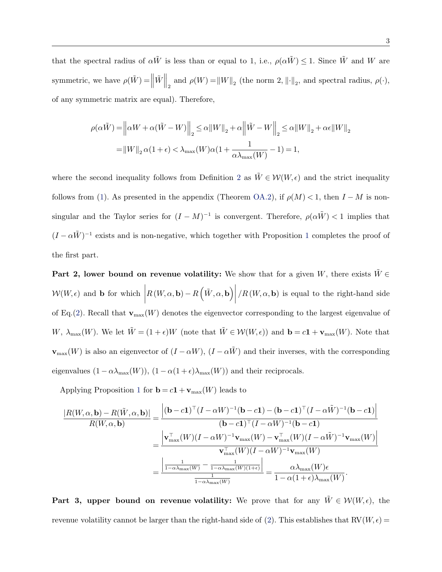that the spectral radius of  $\alpha \tilde{W}$  is less than or equal to 1, i.e.,  $\rho(\alpha \tilde{W}) \leq 1$ . Since  $\tilde{W}$  and *W* are symmetric, we have  $\rho(\tilde{W}) = \left\| \tilde{W} \right\|_2$  and  $\rho(W) = \left\| W \right\|_2$  (the norm 2,  $\left\| \cdot \right\|_2$ , and spectral radius,  $\rho(\cdot)$ , of any symmetric matrix are equal). Therefore,

$$
\begin{aligned} \rho(\alpha \tilde{W}) = & \left\| \alpha W + \alpha (\tilde{W} - W) \right\|_2 \le \alpha \|W\|_2 + \alpha \left\| \tilde{W} - W \right\|_2 \le \alpha \|W\|_2 + \alpha \epsilon \|W\|_2 \\ = & \left\| W \right\|_2 \alpha (1 + \epsilon) < \lambda_{\max}(W) \alpha (1 + \frac{1}{\alpha \lambda_{\max}(W)} - 1) = 1, \end{aligned}
$$

where the second inequality follows from Definition 2 as  $\tilde{W} \in \mathcal{W}(W, \epsilon)$  and the strict inequality follows from (1). As presented in the appendix (Theorem OA.2), if  $\rho(M) < 1$ , then  $I - M$  is nonsingular and the Taylor series for  $(I - M)^{-1}$  is convergent. Therefore,  $\rho(\alpha \tilde{W}) < 1$  implies that  $(I - \alpha \tilde{W})^{-1}$  exists and is non-negative, which together with Proposition 1 completes the proof of the first part.

**Part 2, lower bound on revenue volatility:** We show that for a given *W*, there exists  $\tilde{W} \in$  $W(W, \epsilon)$  and **b** for which  $\left|R\left(W,\alpha,\mathbf{b}\right) - R\left(\tilde{W},\alpha,\mathbf{b}\right)\right|$  $/R(W, \alpha, \mathbf{b})$  is equal to the right-hand side of Eq.(2). Recall that  $\mathbf{v}_{\text{max}}(W)$  denotes the eigenvector corresponding to the largest eigenvalue of *W*,  $\lambda_{\max}(W)$ . We let  $\tilde{W} = (1 + \epsilon)W$  (note that  $\tilde{W} \in \mathcal{W}(W, \epsilon)$ ) and  $\mathbf{b} = c\mathbf{1} + \mathbf{v}_{\max}(W)$ . Note that  $\mathbf{v}_{\text{max}}(W)$  is also an eigenvector of  $(I - \alpha W)$ ,  $(I - \alpha \tilde{W})$  and their inverses, with the corresponding eigenvalues  $(1 - \alpha \lambda_{\max}(W))$ ,  $(1 - \alpha(1 + \epsilon)\lambda_{\max}(W))$  and their reciprocals.

Applying Proposition 1 for  $\mathbf{b} = c\mathbf{1} + \mathbf{v}_{\text{max}}(W)$  leads to

$$
\frac{|R(W, \alpha, \mathbf{b}) - R(\tilde{W}, \alpha, \mathbf{b})|}{R(W, \alpha, \mathbf{b})} = \frac{\left| (\mathbf{b} - c\mathbf{1})^\top (I - \alpha W)^{-1} (\mathbf{b} - c\mathbf{1}) - (\mathbf{b} - c\mathbf{1})^\top (I - \alpha \tilde{W})^{-1} (\mathbf{b} - c\mathbf{1}) \right|}{(\mathbf{b} - c\mathbf{1})^\top (I - \alpha W)^{-1} (\mathbf{b} - c\mathbf{1})}
$$
\n
$$
= \frac{\left| \mathbf{v}_{\text{max}}^\top (W)(I - \alpha W)^{-1} \mathbf{v}_{\text{max}}(W) - \mathbf{v}_{\text{max}}^\top (W)(I - \alpha \tilde{W})^{-1} \mathbf{v}_{\text{max}}(W) \right|}{\mathbf{v}_{\text{max}}^\top (W)(I - \alpha W)^{-1} \mathbf{v}_{\text{max}}(W)}
$$
\n
$$
= \frac{\left| \frac{1}{1 - \alpha \lambda_{\text{max}}(W)} - \frac{1}{1 - \alpha \lambda_{\text{max}}(W)(1 + \epsilon)} \right|}{\frac{1}{1 - \alpha \lambda_{\text{max}}(W)}} = \frac{\alpha \lambda_{\text{max}}(W) \epsilon}{1 - \alpha (1 + \epsilon) \lambda_{\text{max}}(W)}.
$$

**Part 3, upper bound on revenue volatility:** We prove that for any  $\tilde{W} \in \mathcal{W}(W, \epsilon)$ , the revenue volatility cannot be larger than the right-hand side of (2). This establishes that  $RV(W, \epsilon)$  =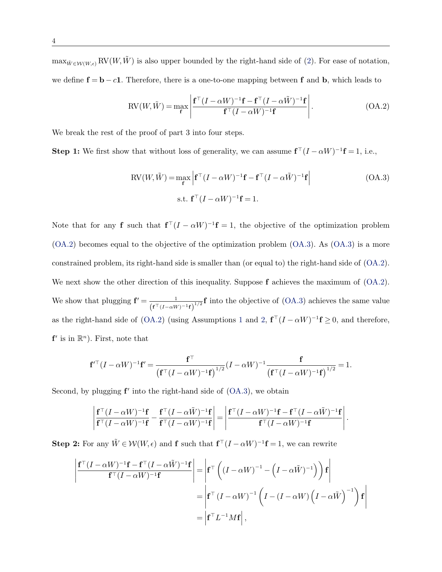$\max_{\tilde{W}\in\mathcal{W}(W,\epsilon)}\text{RV}(W,\tilde{W})$  is also upper bounded by the right-hand side of (2). For ease of notation, we define  $f = b - c1$ . Therefore, there is a one-to-one mapping between f and b, which leads to

$$
RV(W, \tilde{W}) = \max_{\mathbf{f}} \left| \frac{\mathbf{f}^\top (I - \alpha W)^{-1} \mathbf{f} - \mathbf{f}^\top (I - \alpha \tilde{W})^{-1} \mathbf{f}}{\mathbf{f}^\top (I - \alpha W)^{-1} \mathbf{f}} \right|.
$$
(OA.2)

We break the rest of the proof of part 3 into four steps.

**Step 1:** We first show that without loss of generality, we can assume  $f^{\top}(I - \alpha W)^{-1}f = 1$ , i.e.,

$$
RV(W, \tilde{W}) = \max_{\mathbf{f}} \left| \mathbf{f}^\top (I - \alpha W)^{-1} \mathbf{f} - \mathbf{f}^\top (I - \alpha \tilde{W})^{-1} \mathbf{f} \right|
$$
(OA.3)  
s.t.  $\mathbf{f}^\top (I - \alpha W)^{-1} \mathbf{f} = 1$ .

Note that for any **f** such that  $f^{\top}(I - \alpha W)^{-1}f = 1$ , the objective of the optimization problem (OA.2) becomes equal to the objective of the optimization problem (OA.3). As (OA.3) is a more constrained problem, its right-hand side is smaller than (or equal to) the right-hand side of (OA.2). We next show the other direction of this inequality. Suppose **f** achieves the maximum of  $(OA.2)$ . We show that plugging  $f' = \frac{1}{\sqrt{1 - x^2}}$  $\frac{1}{(\mathbf{f}^\top (I-\alpha W)^{-1}\mathbf{f})^{1/2}}\mathbf{f}$  into the objective of (OA.3) achieves the same value as the right-hand side of (OA.2) (using Assumptions 1 and 2,  $f^{\top}(I - \alpha W)^{-1}f \ge 0$ , and therefore,  $f'$  is in  $\mathbb{R}^n$ ). First, note that

$$
\mathbf{f}'^{\top}(I - \alpha W)^{-1}\mathbf{f}' = \frac{\mathbf{f}^{\top}}{(\mathbf{f}^{\top}(I - \alpha W)^{-1}\mathbf{f})^{1/2}}(I - \alpha W)^{-1}\frac{\mathbf{f}}{(\mathbf{f}^{\top}(I - \alpha W)^{-1}\mathbf{f})^{1/2}} = 1.
$$

Second, by plugging  $f'$  into the right-hand side of  $(OA.3)$ , we obtain

$$
\left|\frac{\mathbf{f}^\top (I-\alpha W)^{-1}\mathbf{f}}{\mathbf{f}^\top (I-\alpha W)^{-1}\mathbf{f}}-\frac{\mathbf{f}^\top (I-\alpha \tilde{W})^{-1}\mathbf{f}}{\mathbf{f}^\top (I-\alpha W)^{-1}\mathbf{f}}\right|=\left|\frac{\mathbf{f}^\top (I-\alpha W)^{-1}\mathbf{f}-\mathbf{f}^\top (I-\alpha \tilde{W})^{-1}\mathbf{f}}{\mathbf{f}^\top (I-\alpha W)^{-1}\mathbf{f}}\right|.
$$

**Step 2:** For any  $\tilde{W} \in \mathcal{W}(W, \epsilon)$  and **f** such that  $\mathbf{f}^\top (I - \alpha W)^{-1} \mathbf{f} = 1$ , we can rewrite

$$
\begin{aligned}\n\left| \frac{\mathbf{f}^\top (I - \alpha W)^{-1} \mathbf{f} - \mathbf{f}^\top (I - \alpha \tilde{W})^{-1} \mathbf{f}}{\mathbf{f}^\top (I - \alpha W)^{-1} \mathbf{f}} \right| &= \left| \mathbf{f}^\top \left( (I - \alpha W)^{-1} - \left( I - \alpha \tilde{W} \right)^{-1} \right) \right) \mathbf{f} \right| \\
&= \left| \mathbf{f}^\top (I - \alpha W)^{-1} \left( I - (I - \alpha W) \left( I - \alpha \tilde{W} \right)^{-1} \right) \mathbf{f} \right| \\
&= \left| \mathbf{f}^\top L^{-1} M \mathbf{f} \right|, \n\end{aligned}
$$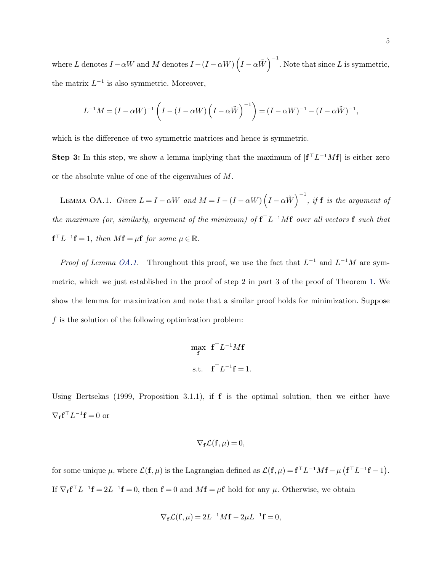where *L* denotes  $I - \alpha W$  and *M* denotes  $I - (I - \alpha W) \left(I - \alpha \tilde{W}\right)^{-1}$ . Note that since *L* is symmetric, the matrix  $L^{-1}$  is also symmetric. Moreover,

$$
L^{-1}M = (I - \alpha W)^{-1} \left( I - (I - \alpha W) \left( I - \alpha \tilde{W} \right)^{-1} \right) = (I - \alpha W)^{-1} - (I - \alpha \tilde{W})^{-1},
$$

which is the difference of two symmetric matrices and hence is symmetric.

**Step 3:** In this step, we show a lemma implying that the maximum of  $|f^{\top}L^{-1}Mf|$  is either zero or the absolute value of one of the eigenvalues of *M*.

LEMMA OA.1. *Given*  $L = I - \alpha W$  and  $M = I - (I - \alpha W) \left( I - \alpha \tilde{W} \right)^{-1}$ , if **f** is the argument of *the maximum (or, similarly, argument of the minimum) of*  $f^{\top}L^{-1}Mf$  *over all vectors* f *such that*  $f^{\top}L^{-1}f = 1$ , then  $Mf = \mu f$  for some  $\mu \in \mathbb{R}$ .

*Proof of Lemma OA.1.* Throughout this proof, we use the fact that  $L^{-1}$  and  $L^{-1}M$  are symmetric, which we just established in the proof of step 2 in part 3 of the proof of Theorem 1. We show the lemma for maximization and note that a similar proof holds for minimization. Suppose *f* is the solution of the following optimization problem:

$$
\begin{aligned}\n\max_{\mathbf{f}} \ \ \mathbf{f}^{\top} L^{-1} M \mathbf{f} \\
\text{s.t.} \ \ \mathbf{f}^{\top} L^{-1} \mathbf{f} &= 1.\n\end{aligned}
$$

Using Bertsekas (1999, Proposition 3.1.1), if f is the optimal solution, then we either have  $\nabla_{\mathbf{f}} \mathbf{f}^\top L^{-1} \mathbf{f} = 0$  or

$$
\nabla_{\mathbf{f}} \mathcal{L}(\mathbf{f}, \mu) = 0,
$$

for some unique  $\mu$ , where  $\mathcal{L}(\mathbf{f}, \mu)$  is the Lagrangian defined as  $\mathcal{L}(\mathbf{f}, \mu) = \mathbf{f}^\top L^{-1}M\mathbf{f} - \mu (\mathbf{f}^\top L^{-1}\mathbf{f} - 1)$ . If  $\nabla_f \mathbf{f}^\top L^{-1} \mathbf{f} = 2L^{-1} \mathbf{f} = 0$ , then  $\mathbf{f} = 0$  and  $M\mathbf{f} = \mu \mathbf{f}$  hold for any  $\mu$ . Otherwise, we obtain

$$
\nabla_{\mathbf{f}} \mathcal{L}(\mathbf{f}, \mu) = 2L^{-1}M\mathbf{f} - 2\mu L^{-1}\mathbf{f} = 0,
$$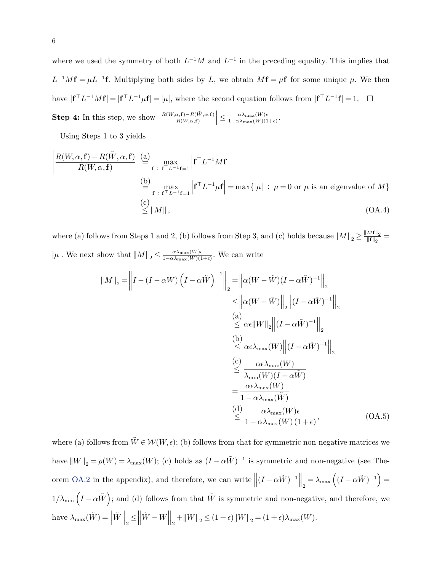where we used the symmetry of both  $L^{-1}M$  and  $L^{-1}$  in the preceding equality. This implies that  $L^{-1}Mf = \mu L^{-1}f$ . Multiplying both sides by *L*, we obtain  $Mf = \mu f$  for some unique  $\mu$ . We then have  $| \mathbf{f}^\top L^{-1}M\mathbf{f} | = | \mathbf{f}^\top L^{-1}\mu\mathbf{f} | = |\mu|$ , where the second equation follows from  $| \mathbf{f}^\top L^{-1}\mathbf{f} | = 1$ .  $\Box$ **Step 4:** In this step, we show  $\vert$  $\frac{R(W, \alpha, \mathbf{f}) - R(\tilde{W}, \alpha, \mathbf{f})}{R(W, \alpha, \mathbf{f})}$  $\vert \leq \frac{\alpha \lambda_{\max}(W) \epsilon}{1 - \alpha \lambda_{\max}(W) (1+\epsilon)}.$ 

Using Steps 1 to 3 yields

$$
\left| \frac{R(W, \alpha, \mathbf{f}) - R(\tilde{W}, \alpha, \mathbf{f})}{R(W, \alpha, \mathbf{f})} \right| \stackrel{\text{(a)}}{=} \max_{\mathbf{f} \text{ is } \mathbf{f}^{\top} L^{-1} \mathbf{f} = 1} \left| \mathbf{f}^{\top} L^{-1} M \mathbf{f} \right|
$$
\n
$$
\stackrel{\text{(b)}}{=} \max_{\mathbf{f} \text{ is } \mathbf{f}^{\top} L^{-1} \mathbf{f} = 1} \left| \mathbf{f}^{\top} L^{-1} \mu \mathbf{f} \right| = \max \{ |\mu| : \mu = 0 \text{ or } \mu \text{ is an eigenvalue of } M \}
$$
\n
$$
\stackrel{\text{(c)}}{\leq} ||M||, \tag{OA.4}
$$

where (a) follows from Steps 1 and 2, (b) follows from Step 3, and (c) holds because  $\|M\|_2 \ge \frac{\|M\mathbf{f}\|_2}{\|\mathbf{f}\|_2}$  $|\mu|$ . We next show that  $||M||_2 \leq \frac{\alpha \lambda_{\max}(W)\epsilon}{1 - \alpha \lambda_{\max}(W)(1+\epsilon)}$ . We can write

$$
||M||_2 = \left||I - (I - \alpha W) (I - \alpha \tilde{W})^{-1}||_2 = \left||\alpha (W - \tilde{W})(I - \alpha \tilde{W})^{-1}||_2
$$
  
\n
$$
\leq ||\alpha (W - \tilde{W})||_2 ||(I - \alpha \tilde{W})^{-1}||_2
$$
  
\n(a)  
\n
$$
\leq \alpha \epsilon ||W||_2 ||(I - \alpha \tilde{W})^{-1}||_2
$$
  
\n(b)  
\n
$$
\leq \alpha \epsilon \lambda_{\max}(W) ||(I - \alpha \tilde{W})^{-1}||_2
$$
  
\n(c)  
\n
$$
\leq \frac{\alpha \epsilon \lambda_{\max}(W)}{\lambda_{\min}(W)(I - \alpha \tilde{W})}
$$
  
\n
$$
= \frac{\alpha \epsilon \lambda_{\max}(W)}{1 - \alpha \lambda_{\max}(W)}
$$
  
\n(d)  
\n
$$
\frac{\alpha \lambda_{\max}(W) \epsilon}{1 - \alpha \lambda_{\max}(W)(1 + \epsilon)},
$$
 (OA.5)

where (a) follows from  $\tilde{W} \in \mathcal{W}(W, \epsilon)$ ; (b) follows from that for symmetric non-negative matrices we have  $||W||_2 = \rho(W) = \lambda_{\max}(W)$ ; (c) holds as  $(I - \alpha \tilde{W})^{-1}$  is symmetric and non-negative (see Theorem OA.2 in the appendix), and therefore, we can write  $\left\| (I - \alpha \tilde{W})^{-1} \right\|_2 = \lambda_{\max} \left( (I - \alpha \tilde{W})^{-1} \right) =$  $1/\lambda_{\min} (I - \alpha \tilde{W})$ ; and (d) follows from that  $\tilde{W}$  is symmetric and non-negative, and therefore, we have  $\lambda_{\max}(\tilde{W}) = \left\| \tilde{W} \right\|_2 \leq$  $\|\tilde{W} - W\|_2 + \|W\|_2 \le (1 + \epsilon) \|W\|_2 = (1 + \epsilon) \lambda_{\max}(W).$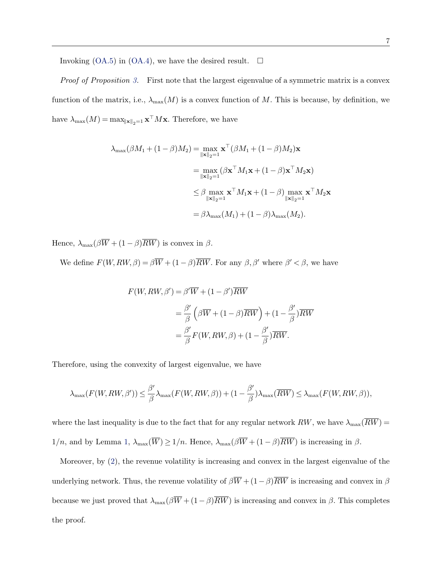Invoking  $(OA.5)$  in  $(OA.4)$ , we have the desired result.  $\Box$ 

*Proof of Proposition 3.* First note that the largest eigenvalue of a symmetric matrix is a convex function of the matrix, i.e.,  $\lambda_{\max}(M)$  is a convex function of M. This is because, by definition, we have  $\lambda_{\max}(M) = \max_{\|\mathbf{x}\|_2=1} \mathbf{x}^\top M \mathbf{x}$ . Therefore, we have

$$
\lambda_{\max}(\beta M_1 + (1 - \beta)M_2) = \max_{\|\mathbf{x}\|_2 = 1} \mathbf{x}^\top (\beta M_1 + (1 - \beta)M_2)\mathbf{x}
$$
  
\n
$$
= \max_{\|\mathbf{x}\|_2 = 1} (\beta \mathbf{x}^\top M_1 \mathbf{x} + (1 - \beta) \mathbf{x}^\top M_2 \mathbf{x})
$$
  
\n
$$
\leq \beta \max_{\|\mathbf{x}\|_2 = 1} \mathbf{x}^\top M_1 \mathbf{x} + (1 - \beta) \max_{\|\mathbf{x}\|_2 = 1} \mathbf{x}^\top M_2 \mathbf{x}
$$
  
\n
$$
= \beta \lambda_{\max}(M_1) + (1 - \beta) \lambda_{\max}(M_2).
$$

Hence,  $\lambda_{\max}(\beta \overline{W} + (1 - \beta)\overline{RW})$  is convex in  $\beta$ .

We define  $F(W, RW, \beta) = \beta \overline{W} + (1 - \beta) \overline{RW}$ . For any  $\beta, \beta'$  where  $\beta' < \beta$ , we have

$$
F(W, RW, \beta') = \beta' \overline{W} + (1 - \beta') \overline{RW}
$$
  
=  $\frac{\beta'}{\beta} \left( \beta \overline{W} + (1 - \beta) \overline{RW} \right) + (1 - \frac{\beta'}{\beta}) \overline{RW}$   
=  $\frac{\beta'}{\beta} F(W, RW, \beta) + (1 - \frac{\beta'}{\beta}) \overline{RW}.$ 

Therefore, using the convexity of largest eigenvalue, we have

$$
\lambda_{\max}(F(W,RW,\beta')) \leq \frac{\beta'}{\beta} \lambda_{\max}(F(W,RW,\beta)) + (1 - \frac{\beta'}{\beta}) \lambda_{\max}(\overline{RW}) \leq \lambda_{\max}(F(W,RW,\beta)),
$$

where the last inequality is due to the fact that for any regular network  $RW$ , we have  $\lambda_{\max}(\overline{RW}) =$  $1/n$ , and by Lemma 1,  $\lambda_{\max}(\overline{W}) \ge 1/n$ . Hence,  $\lambda_{\max}(\beta \overline{W} + (1-\beta)\overline{RW})$  is increasing in  $\beta$ .

Moreover, by (2), the revenue volatility is increasing and convex in the largest eigenvalue of the underlying network. Thus, the revenue volatility of  $\beta \overline{W} + (1-\beta) \overline{RW}$  is increasing and convex in  $\beta$ because we just proved that  $\lambda_{\max}(\beta \overline{W} + (1-\beta)\overline{RW})$  is increasing and convex in  $\beta$ . This completes the proof.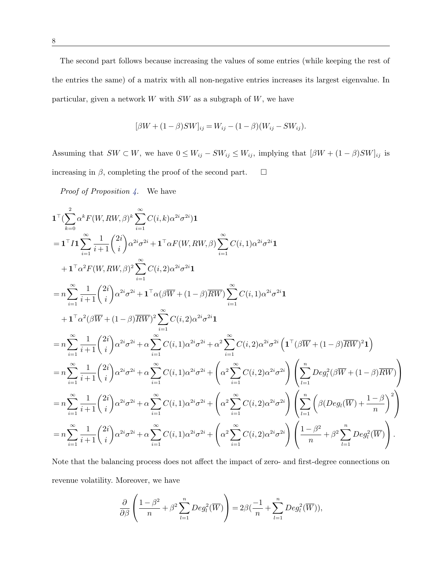The second part follows because increasing the values of some entries (while keeping the rest of the entries the same) of a matrix with all non-negative entries increases its largest eigenvalue. In particular, given a network *W* with *SW* as a subgraph of *W*, we have

$$
[\beta W + (1 - \beta)SW]_{ij} = W_{ij} - (1 - \beta)(W_{ij} - SW_{ij}).
$$

Assuming that  $SW \subset W$ , we have  $0 \leq W_{ij} - SW_{ij} \leq W_{ij}$ , implying that  $[\beta W + (1 - \beta)SW]_{ij}$  is increasing in  $\beta$ , completing the proof of the second part.  $\Box$ 

*Proof of Proposition 4.* We have

$$
1^{T}(\sum_{k=0}^{2} \alpha^{k} F(W, RW, \beta)^{k} \sum_{i=1}^{\infty} C(i, k) \alpha^{2i} \sigma^{2i}) 1
$$
\n
$$
= 1^{T} I 1 \sum_{i=1}^{\infty} \frac{1}{i+1} {2i \choose i} \alpha^{2i} \sigma^{2i} + 1^{T} \alpha F(W, RW, \beta) \sum_{i=1}^{\infty} C(i, 1) \alpha^{2i} \sigma^{2i} 1
$$
\n
$$
+ 1^{T} \alpha^{2} F(W, RW, \beta)^{2} \sum_{i=1}^{\infty} C(i, 2) \alpha^{2i} \sigma^{2i} 1
$$
\n
$$
= n \sum_{i=1}^{\infty} \frac{1}{i+1} {2i \choose i} \alpha^{2i} \sigma^{2i} + 1^{T} \alpha (\beta \overline{W} + (1-\beta) \overline{RW}) \sum_{i=1}^{\infty} C(i, 1) \alpha^{2i} \sigma^{2i} 1
$$
\n
$$
+ 1^{T} \alpha^{2} (\beta \overline{W} + (1-\beta) \overline{RW})^{2} \sum_{i=1}^{\infty} C(i, 2) \alpha^{2i} \sigma^{2i} 1
$$
\n
$$
= n \sum_{i=1}^{\infty} \frac{1}{i+1} {2i \choose i} \alpha^{2i} \sigma^{2i} + \alpha \sum_{i=1}^{\infty} C(i, 1) \alpha^{2i} \sigma^{2i} + \alpha^{2} \sum_{i=1}^{\infty} C(i, 2) \alpha^{2i} \sigma^{2i} \left( 1^{T} (\beta \overline{W} + (1-\beta) \overline{RW})^{2} 1 \right)
$$
\n
$$
= n \sum_{i=1}^{\infty} \frac{1}{i+1} {2i \choose i} \alpha^{2i} \sigma^{2i} + \alpha \sum_{i=1}^{\infty} C(i, 1) \alpha^{2i} \sigma^{2i} + \left( \alpha^{2} \sum_{i=1}^{\infty} C(i, 2) \alpha^{2i} \sigma^{2i} \right) \left( \sum_{l=1}^{n} Deg_{l}^{2} (\beta \overline{W} + (1-\beta) \overline{RW}) \right)
$$
\n
$$
= n \
$$

Note that the balancing process does not affect the impact of zero- and first-degree connections on revenue volatility. Moreover, we have

$$
\frac{\partial}{\partial \beta} \left( \frac{1-\beta^2}{n} + \beta^2 \sum_{l=1}^n Deg_l^2(\overline{W}) \right) = 2\beta \left( \frac{-1}{n} + \sum_{l=1}^n Deg_l^2(\overline{W}) \right),
$$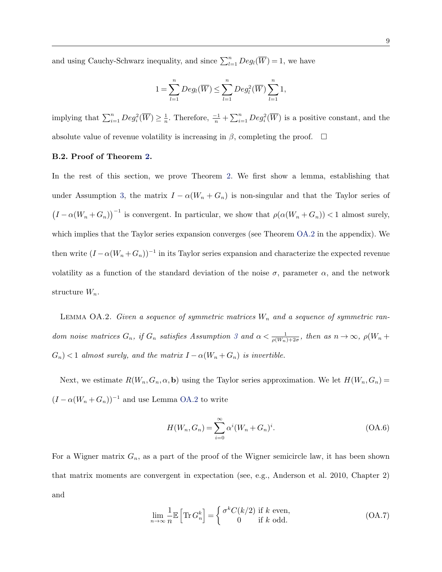and using Cauchy-Schwarz inequality, and since  $\sum_{l=1}^{n}$  *Deg<sub>l</sub>*( $\overline{W}$ ) = 1, we have

$$
1 = \sum_{l=1}^{n} Deg_l(\overline{W}) \le \sum_{l=1}^{n} Deg_l^2(\overline{W}) \sum_{l=1}^{n} 1,
$$

implying that  $\sum_{i=1}^{n}$   $Deg_i^2(\overline{W}) \geq \frac{1}{n}$ . Therefore,  $\frac{-1}{n} + \sum_{i=1}^{n}$   $Deg_i^2(\overline{W})$  is a positive constant, and the absolute value of revenue volatility is increasing in  $\beta$ , completing the proof.  $\Box$ 

### B.2. Proof of Theorem 2.

In the rest of this section, we prove Theorem 2. We first show a lemma, establishing that under Assumption 3, the matrix  $I - \alpha(W_n + G_n)$  is non-singular and that the Taylor series of  $(I - \alpha(W_n + G_n))^{-1}$  is convergent. In particular, we show that  $\rho(\alpha(W_n + G_n)) < 1$  almost surely, which implies that the Taylor series expansion converges (see Theorem OA.2 in the appendix). We then write  $(I - \alpha (W_n + G_n))^{-1}$  in its Taylor series expansion and characterize the expected revenue volatility as a function of the standard deviation of the noise  $\sigma$ , parameter  $\alpha$ , and the network structure *Wn*.

LEMMA OA.2. *Given a sequence of symmetric matrices*  $W_n$  and a sequence of symmetric ran*dom noise matrices*  $G_n$ , if  $G_n$  satisfies Assumption 3 and  $\alpha < \frac{1}{\rho(W_n)+2\sigma}$ , then as  $n \to \infty$ ,  $\rho(W_n +$  $G_n$   $\leq$  1 *almost surely, and the matrix*  $I - \alpha(W_n + G_n)$  *is invertible.* 

Next, we estimate  $R(W_n, G_n, \alpha, \mathbf{b})$  using the Taylor series approximation. We let  $H(W_n, G_n)$  $(I - \alpha(W_n + G_n))^{-1}$  and use Lemma OA.2 to write

$$
H(W_n, G_n) = \sum_{i=0}^{\infty} \alpha^i (W_n + G_n)^i.
$$
 (OA.6)

For a Wigner matrix  $G_n$ , as a part of the proof of the Wigner semicircle law, it has been shown that matrix moments are convergent in expectation (see, e.g., Anderson et al. 2010, Chapter 2) and

$$
\lim_{n \to \infty} \frac{1}{n} \mathbb{E} \left[ \text{Tr} \, G_n^k \right] = \begin{cases} \sigma^k C(k/2) & \text{if } k \text{ even,} \\ 0 & \text{if } k \text{ odd.} \end{cases}
$$
\n(OA.7)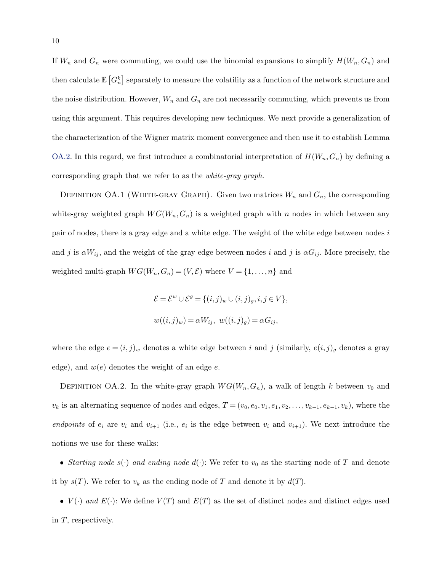If  $W_n$  and  $G_n$  were commuting, we could use the binomial expansions to simplify  $H(W_n, G_n)$  and then calculate  $\mathbb{E}\left[G_n^k\right]$  separately to measure the volatility as a function of the network structure and the noise distribution. However, *W<sup>n</sup>* and *G<sup>n</sup>* are not necessarily commuting, which prevents us from using this argument. This requires developing new techniques. We next provide a generalization of the characterization of the Wigner matrix moment convergence and then use it to establish Lemma OA.2. In this regard, we first introduce a combinatorial interpretation of  $H(W_n, G_n)$  by defining a corresponding graph that we refer to as the *white-gray graph*.

DEFINITION OA.1 (WHITE-GRAY GRAPH). Given two matrices  $W_n$  and  $G_n$ , the corresponding white-gray weighted graph  $WG(W_n, G_n)$  is a weighted graph with *n* nodes in which between any pair of nodes, there is a gray edge and a white edge. The weight of the white edge between nodes *i* and *j* is  $\alpha W_{ij}$ , and the weight of the gray edge between nodes *i* and *j* is  $\alpha G_{ij}$ . More precisely, the weighted multi-graph  $WG(W_n, G_n) = (V, \mathcal{E})$  where  $V = \{1, \ldots, n\}$  and

$$
\mathcal{E} = \mathcal{E}^w \cup \mathcal{E}^g = \{(i,j)_w \cup (i,j)_g, i,j \in V\},\
$$
  

$$
w((i,j)_w) = \alpha W_{ij}, \ w((i,j)_g) = \alpha G_{ij},
$$

where the edge  $e = (i, j)_w$  denotes a white edge between *i* and *j* (similarly,  $e(i, j)_g$  denotes a gray edge), and *w*(*e*) denotes the weight of an edge *e*.

DEFINITION OA.2. In the white-gray graph  $WG(W_n, G_n)$ , a walk of length *k* between  $v_0$  and  $v_k$  is an alternating sequence of nodes and edges,  $T = (v_0, e_0, v_1, e_1, v_2, \ldots, v_{k-1}, e_{k-1}, v_k)$ , where the *endpoints* of  $e_i$  are  $v_i$  and  $v_{i+1}$  (i.e.,  $e_i$  is the edge between  $v_i$  and  $v_{i+1}$ ). We next introduce the notions we use for these walks:

• *Starting node*  $s(\cdot)$  *and ending node*  $d(\cdot)$ : We refer to  $v_0$  as the starting node of T and denote it by  $s(T)$ . We refer to  $v_k$  as the ending node of T and denote it by  $d(T)$ .

•  $V(\cdot)$  *and*  $E(\cdot)$ : We define  $V(T)$  and  $E(T)$  as the set of distinct nodes and distinct edges used in *T*, respectively.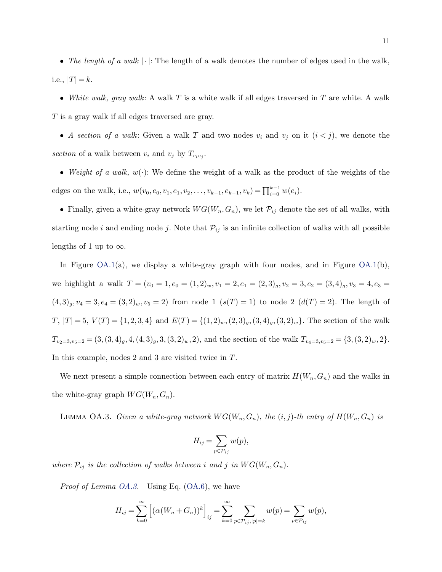• *The length of a walk*  $|\cdot|$ : The length of a walk denotes the number of edges used in the walk, i.e.,  $|T| = k$ .

• *White walk, gray walk*: A walk *T* is a white walk if all edges traversed in *T* are white. A walk *T* is a gray walk if all edges traversed are gray.

• *A section of a walk*: Given a walk *T* and two nodes  $v_i$  and  $v_j$  on it  $(i < j)$ , we denote the section of a walk between  $v_i$  and  $v_j$  by  $T_{v_iv_j}$ .

• *Weight of a walk, w*(*·*): We define the weight of a walk as the product of the weights of the edges on the walk, i.e.,  $w(v_0, e_0, v_1, e_1, v_2, \ldots, v_{k-1}, e_{k-1}, v_k) = \prod_{i=0}^{k-1} w(e_i)$ .

• Finally, given a white-gray network  $WG(W_n, G_n)$ , we let  $\mathcal{P}_{ij}$  denote the set of all walks, with starting node *i* and ending node *j*. Note that  $P_{ij}$  is an infinite collection of walks with all possible lengths of 1 up to  $\infty$ .

In Figure  $OA.1(a)$ , we display a white-gray graph with four nodes, and in Figure  $OA.1(b)$ , we highlight a walk  $T = (v_0 = 1, e_0 = (1, 2)_w, v_1 = 2, e_1 = (2, 3)_g, v_2 = 3, e_2 = (3, 4)_g, v_3 = 4, e_3 =$  $(4,3)_g, v_4 = 3, e_4 = (3,2)_w, v_5 = 2)$  from node 1  $(s(T) = 1)$  to node 2  $(d(T) = 2)$ . The length of  $T, |T| = 5, V(T) = \{1, 2, 3, 4\}$  and  $E(T) = \{(1, 2)_w, (2, 3)_g, (3, 4)_g, (3, 2)_w\}.$  The section of the walk  $T_{v_2=3, v_5=2} = (3, (3, 4)_g, 4, (4, 3)_g, 3, (3, 2)_w, 2)$ , and the section of the walk  $T_{v_4=3, v_5=2} = \{3, (3, 2)_w, 2\}.$ In this example, nodes 2 and 3 are visited twice in *T*.

We next present a simple connection between each entry of matrix  $H(W_n, G_n)$  and the walks in the white-gray graph  $WG(W_n, G_n)$ .

LEMMA OA.3. *Given a white-gray network*  $WG(W_n, G_n)$ *, the*  $(i, j)$ -th entry of  $H(W_n, G_n)$  is

$$
H_{ij} = \sum_{p \in \mathcal{P}_{ij}} w(p),
$$

*where*  $\mathcal{P}_{ij}$  *is the collection of walks between i and j in*  $WG(W_n, G_n)$ *.* 

*Proof of Lemma OA.3.* Using Eq. (OA.6), we have

$$
H_{ij} = \sum_{k=0}^{\infty} \left[ (\alpha (W_n + G_n))^k \right]_{ij} = \sum_{k=0}^{\infty} \sum_{p \in \mathcal{P}_{ij}, |p| = k} w(p) = \sum_{p \in \mathcal{P}_{ij}} w(p),
$$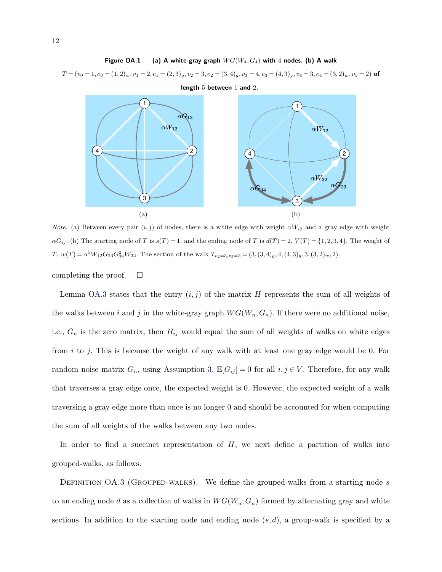#### Figure OA.1 (a) A white-gray graph  $WG(W_4, G_4)$  with 4 nodes. (b) A walk

 $T=(v_0=1,e_0=(1,2)_{w}, v_1=2, e_1=(2,3)_{g}, v_2=3, e_2=(3,4)_{g}, v_3=4, e_3=(4,3)_{g}, v_4=3, e_4=(3,2)_{w}, v_5=2)$  of length 5 between 1 and 2.



*Note.* (a) Between every pair  $(i, j)$  of nodes, there is a white edge with weight  $\alpha W_{ij}$  and a gray edge with weight  $\alpha G_{ij}$ . (b) The starting node of T is  $s(T) = 1$ , and the ending node of T is  $d(T) = 2$ .  $V(T) = \{1, 2, 3, 4\}$ . The weight of  $T, w(T) = \alpha^{5} W_{12} G_{23} G_{34}^{2} W_{32}$ . The section of the walk  $T_{v_2=3, v_5=2} = (3, (3, 4)_g, 4, (4, 3)_g, 3, (3, 2)_w, 2)$ .

completing the proof.  $\Box$ 

Lemma OA.3 states that the entry  $(i, j)$  of the matrix *H* represents the sum of all weights of the walks between *i* and *j* in the white-gray graph  $WG(W_n, G_n)$ . If there were no additional noise, i.e.,  $G_n$  is the zero matrix, then  $H_{ij}$  would equal the sum of all weights of walks on white edges from *i* to *j*. This is because the weight of any walk with at least one gray edge would be 0. For random noise matrix  $G_n$ , using Assumption 3,  $\mathbb{E}[G_{ij}] = 0$  for all  $i, j \in V$ . Therefore, for any walk that traverses a gray edge once, the expected weight is 0. However, the expected weight of a walk traversing a gray edge more than once is no longer 0 and should be accounted for when computing the sum of all weights of the walks between any two nodes.

In order to find a succinct representation of *H*, we next define a partition of walks into grouped-walks, as follows.

DEFINITION OA.3 (GROUPED-WALKS). We define the grouped-walks from a starting node *s* to an ending node *d* as a collection of walks in  $WG(W_n, G_n)$  formed by alternating gray and white sections. In addition to the starting node and ending node (*s, d*), a group-walk is specified by a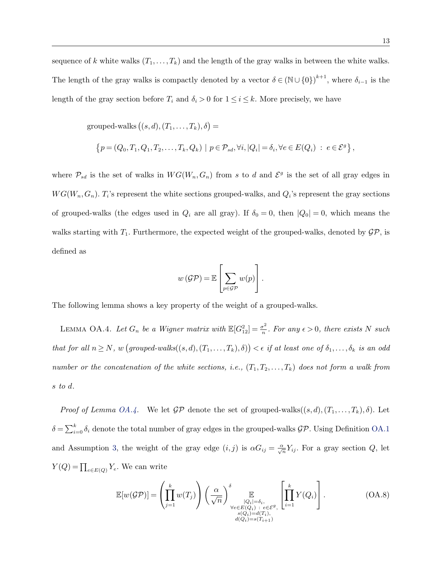sequence of *k* white walks  $(T_1, \ldots, T_k)$  and the length of the gray walks in between the white walks. The length of the gray walks is compactly denoted by a vector  $\delta \in (\mathbb{N} \cup \{0\})^{k+1}$ , where  $\delta_{i-1}$  is the length of the gray section before  $T_i$  and  $\delta_i > 0$  for  $1 \leq i \leq k$ . More precisely, we have

 $grouped-walks ((s, d), (T_1, \ldots, T_k), \delta) =$ 

$$
\left\{p=(Q_0,T_1,Q_1,T_2,\ldots,T_k,Q_k)\,\,|\,\,p\in\mathcal{P}_{sd},\forall i,|Q_i|=\delta_i,\forall e\in E(Q_i)\;:\;e\in\mathcal{E}^g\right\},
$$

where  $\mathcal{P}_{sd}$  is the set of walks in  $WG(W_n, G_n)$  from *s* to *d* and  $\mathcal{E}^g$  is the set of all gray edges in  $WG(W_n, G_n)$ . *T*<sub>*i*</sub>'s represent the white sections grouped-walks, and  $Q_i$ 's represent the gray sections of grouped-walks (the edges used in  $Q_i$  are all gray). If  $\delta_0 = 0$ , then  $|Q_0| = 0$ , which means the walks starting with  $T_1$ . Furthermore, the expected weight of the grouped-walks, denoted by  $\mathcal{GP}$ , is defined as

$$
w(\mathcal{GP}) = \mathbb{E}\left[\sum_{p \in \mathcal{GP}} w(p)\right].
$$

The following lemma shows a key property of the weight of a grouped-walks.

LEMMA OA.4. Let  $G_n$  be a Wigner matrix with  $\mathbb{E}[G_{12}^2] = \frac{\sigma^2}{n}$ . For any  $\epsilon > 0$ , there exists N such  $that for all n \geq N$ *, w*  $(grouped-walks((s, d), (T_1, \ldots, T_k), \delta)) < \epsilon$  *if at least one of*  $\delta_1, \ldots, \delta_k$  *is an odd number or the concatenation of the white sections, i.e.,*  $(T_1, T_2, \ldots, T_k)$  *does not form a walk from s to d.*

*Proof of Lemma OA.4.* We let  $\mathcal{GP}$  denote the set of grouped-walks $((s, d), (T_1, \ldots, T_k), \delta)$ . Let  $\delta = \sum_{i=0}^{k} \delta_i$  denote the total number of gray edges in the grouped-walks  $\mathcal{GP}$ . Using Definition OA.1 and Assumption 3, the weight of the gray edge  $(i, j)$  is  $\alpha G_{ij} = \frac{\alpha}{\sqrt{n}} Y_{ij}$ . For a gray section *Q*, let  $Y(Q) = \prod_{e \in E(Q)} Y_e$ . We can write

$$
\mathbb{E}[w(\mathcal{GP})] = \left(\prod_{j=1}^{k} w(T_j)\right) \left(\frac{\alpha}{\sqrt{n}}\right) \prod_{\substack{|Q_i| = \delta_i, \\ \forall e \in E(Q_i) \\ s(Q_i) = d(T_i), \\ d(Q_i) = s(T_{i+1})}} \left[\prod_{i=1}^{k} Y(Q_i)\right].
$$
\n(OA.8)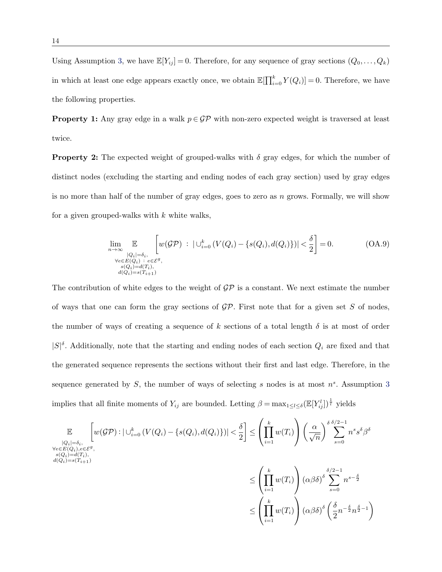Using Assumption 3, we have  $\mathbb{E}[Y_{ij}] = 0$ . Therefore, for any sequence of gray sections  $(Q_0, \ldots, Q_k)$ in which at least one edge appears exactly once, we obtain  $\mathbb{E}[\prod_{i=0}^{k} Y(Q_i)] = 0$ . Therefore, we have the following properties.

**Property 1:** Any gray edge in a walk  $p \in \mathcal{GP}$  with non-zero expected weight is traversed at least twice.

**Property 2:** The expected weight of grouped-walks with  $\delta$  gray edges, for which the number of distinct nodes (excluding the starting and ending nodes of each gray section) used by gray edges is no more than half of the number of gray edges, goes to zero as *n* grows. Formally, we will show for a given grouped-walks with *k* white walks,

$$
\lim_{n \to \infty} \mathbb{E} \left[ w(\mathcal{GP}) \ : \ |\bigcup_{i=0}^{k} (V(Q_i) - \{s(Q_i), d(Q_i)\})| < \frac{\delta}{2} \right] = 0. \tag{OA.9}
$$
\n
$$
\forall e \in E(Q_i) : e \in \mathcal{E}^g,
$$
\n
$$
\sup_{\substack{s(Q_i) = d(T_i), \\ d(Q_i) = s(T_{i+1})}} \mathbb{E} \left[ w(\mathcal{GP}) \ : \ |\bigcup_{i=0}^{k} (V(Q_i) - \{s(Q_i), d(Q_i)\})| < \frac{\delta}{2} \right] = 0.
$$

The contribution of white edges to the weight of  $\mathcal{GP}$  is a constant. We next estimate the number of ways that one can form the gray sections of *GP*. First note that for a given set *S* of nodes, the number of ways of creating a sequence of  $k$  sections of a total length  $\delta$  is at most of order  $|S|^{\delta}$ . Additionally, note that the starting and ending nodes of each section  $Q_i$  are fixed and that the generated sequence represents the sections without their first and last edge. Therefore, in the sequence generated by *S*, the number of ways of selecting *s* nodes is at most *n<sup>s</sup>*. Assumption 3 implies that all finite moments of  $Y_{ij}$  are bounded. Letting  $\beta = \max_{1 \leq l \leq \delta} (\mathbb{E}[Y_{ij}^l])^{\frac{1}{l}}$  yields

$$
\mathbb{E} \left[ w(\mathcal{GP}) : |\bigcup_{i=0}^{k} (V(Q_i) - \{s(Q_i), d(Q_i)\})| < \frac{\delta}{2} \right] \leq \left( \prod_{i=1}^{k} w(T_i) \right) \left( \frac{\alpha}{\sqrt{n}} \right)^{\delta} \sum_{s=0}^{\delta/2 - 1} n^s s^{\delta} \beta^{\delta}
$$
\n
$$
\forall e \in E(Q_i), e \in \mathcal{E}^g,
$$
\n
$$
s(Q_i) = s(T_{i+1})
$$
\n
$$
d(Q_i) = s(T_{i+1})
$$
\n
$$
\leq \left( \prod_{i=1}^{k} w(T_i) \right) (\alpha \beta \delta)^{\delta} \sum_{s=0}^{\delta/2 - 1} n^{s - \frac{\delta}{2}}
$$
\n
$$
\leq \left( \prod_{i=1}^{k} w(T_i) \right) (\alpha \beta \delta)^{\delta} \left( \frac{\delta}{2} n^{-\frac{\delta}{2}} n^{\frac{\delta}{2} - 1} \right)
$$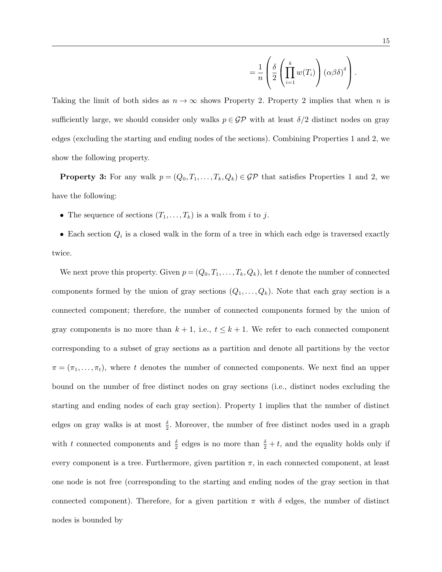$$
= \frac{1}{n} \left( \frac{\delta}{2} \left( \prod_{i=1}^k w(T_i) \right) \left( \alpha \beta \delta \right)^{\delta} \right).
$$

Taking the limit of both sides as  $n \to \infty$  shows Property 2. Property 2 implies that when *n* is sufficiently large, we should consider only walks  $p \in \mathcal{GP}$  with at least  $\delta/2$  distinct nodes on gray edges (excluding the starting and ending nodes of the sections). Combining Properties 1 and 2, we show the following property.

**Property 3:** For any walk  $p = (Q_0, T_1, \ldots, T_k, Q_k) \in \mathcal{GP}$  that satisfies Properties 1 and 2, we have the following:

• The sequence of sections  $(T_1, \ldots, T_k)$  is a walk from *i* to *j*.

• Each section  $Q_i$  is a closed walk in the form of a tree in which each edge is traversed exactly twice.

We next prove this property. Given  $p = (Q_0, T_1, \ldots, T_k, Q_k)$ , let *t* denote the number of connected components formed by the union of gray sections  $(Q_1, \ldots, Q_k)$ . Note that each gray section is a connected component; therefore, the number of connected components formed by the union of gray components is no more than  $k + 1$ , i.e.,  $t \leq k + 1$ . We refer to each connected component corresponding to a subset of gray sections as a partition and denote all partitions by the vector  $\pi = (\pi_1, \ldots, \pi_t)$ , where *t* denotes the number of connected components. We next find an upper bound on the number of free distinct nodes on gray sections (i.e., distinct nodes excluding the starting and ending nodes of each gray section). Property 1 implies that the number of distinct edges on gray walks is at most  $\frac{\delta}{2}$ . Moreover, the number of free distinct nodes used in a graph with *t* connected components and  $\frac{\delta}{2}$  edges is no more than  $\frac{\delta}{2} + t$ , and the equality holds only if every component is a tree. Furthermore, given partition  $\pi$ , in each connected component, at least one node is not free (corresponding to the starting and ending nodes of the gray section in that connected component). Therefore, for a given partition  $\pi$  with  $\delta$  edges, the number of distinct nodes is bounded by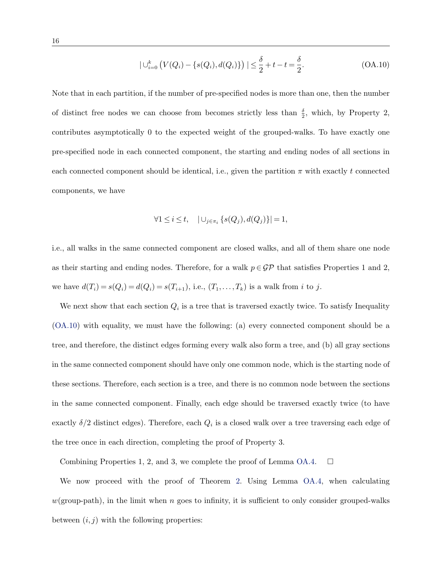$$
|\bigcup_{i=0}^{k} (V(Q_i) - \{s(Q_i), d(Q_i)\})| \leq \frac{\delta}{2} + t - t = \frac{\delta}{2}.
$$
 (OA.10)

Note that in each partition, if the number of pre-specified nodes is more than one, then the number of distinct free nodes we can choose from becomes strictly less than  $\frac{\delta}{2}$ , which, by Property 2, contributes asymptotically 0 to the expected weight of the grouped-walks. To have exactly one pre-specified node in each connected component, the starting and ending nodes of all sections in each connected component should be identical, i.e., given the partition  $\pi$  with exactly t connected components, we have

$$
\forall 1 \leq i \leq t, \quad |\cup_{j \in \pi_i} \{s(Q_j), d(Q_j)\}| = 1,
$$

i.e., all walks in the same connected component are closed walks, and all of them share one node as their starting and ending nodes. Therefore, for a walk  $p \in \mathcal{GP}$  that satisfies Properties 1 and 2, we have  $d(T_i) = s(Q_i) = d(Q_i) = s(T_{i+1}),$  i.e.,  $(T_1, ..., T_k)$  is a walk from *i* to *j*.

We next show that each section  $Q_i$  is a tree that is traversed exactly twice. To satisfy Inequality (OA.10) with equality, we must have the following: (a) every connected component should be a tree, and therefore, the distinct edges forming every walk also form a tree, and (b) all gray sections in the same connected component should have only one common node, which is the starting node of these sections. Therefore, each section is a tree, and there is no common node between the sections in the same connected component. Finally, each edge should be traversed exactly twice (to have exactly  $\delta/2$  distinct edges). Therefore, each  $Q_i$  is a closed walk over a tree traversing each edge of the tree once in each direction, completing the proof of Property 3.

Combining Properties 1, 2, and 3, we complete the proof of Lemma OA.4.  $\Box$ 

We now proceed with the proof of Theorem 2. Using Lemma OA.4, when calculating  $w(\text{group-path})$ , in the limit when *n* goes to infinity, it is sufficient to only consider grouped-walks between  $(i, j)$  with the following properties: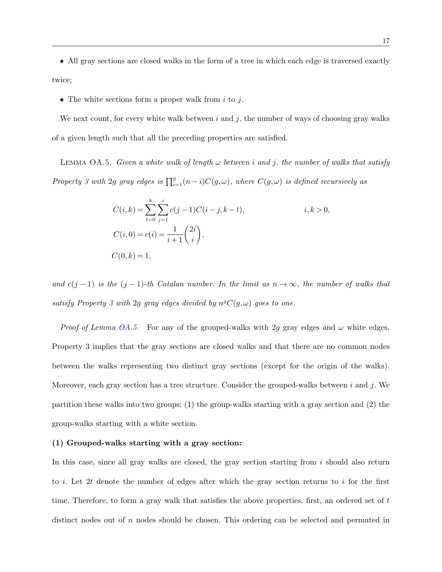• All gray sections are closed walks in the form of a tree in which each edge is traversed exactly twice;

• The white sections form a proper walk from *i* to *j*.

We next count, for every white walk between *i* and *j*, the number of ways of choosing gray walks of a given length such that all the preceding properties are satisfied.

LEMMA OA.5. *Given a white walk of length*  $\omega$  *between i* and *j*, the number of walks that satisfy *Property 3 with* 2*g gray edges is*  $\prod_{i=1}^{g} (n-i)C(g,\omega)$ *, where*  $C(g,\omega)$  *is defined recursively as* 

$$
C(i,k) = \sum_{t=0}^{k} \sum_{j=1}^{i} c(j-1)C(i-j,k-t),
$$
  
\n
$$
C(i,0) = c(i) = \frac{1}{i+1} {2i \choose i},
$$
  
\n
$$
C(0,k) = 1,
$$

*and*  $c(j-1)$  *is the*  $(j-1)$ *-th Catalan number. In the limit as*  $n \to \infty$ *, the number of walks that satisfy Property 3 with* 2*g gray edges divided by*  $n^g C(g, \omega)$  *goes to one.* 

*Proof of Lemma OA.5.* For any of the grouped-walks with 2*g* gray edges and  $\omega$  white edges, Property 3 implies that the gray sections are closed walks and that there are no common nodes between the walks representing two distinct gray sections (except for the origin of the walks). Moreover, each gray section has a tree structure. Consider the grouped-walks between *i* and *j*. We partition these walks into two groups: (1) the group-walks starting with a gray section and (2) the group-walks starting with a white section.

#### (1) Grouped-walks starting with a gray section:

In this case, since all gray walks are closed, the gray section starting from *i* should also return to *i*. Let 2*t* denote the number of edges after which the gray section returns to *i* for the first time. Therefore, to form a gray walk that satisfies the above properties, first, an ordered set of *t* distinct nodes out of *n* nodes should be chosen. This ordering can be selected and permuted in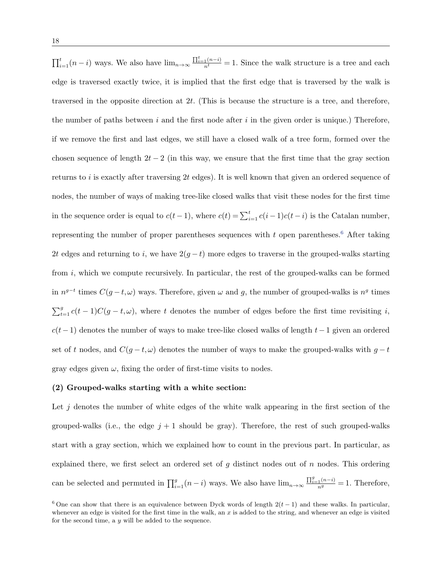$\prod_{i=1}^{t}(n-i)$  ways. We also have  $\lim_{n\to\infty}\frac{\prod_{i=1}^{t}(n-i)}{n^t}=1$ . Since the walk structure is a tree and each edge is traversed exactly twice, it is implied that the first edge that is traversed by the walk is traversed in the opposite direction at 2*t*. (This is because the structure is a tree, and therefore, the number of paths between *i* and the first node after *i* in the given order is unique.) Therefore, if we remove the first and last edges, we still have a closed walk of a tree form, formed over the chosen sequence of length  $2t - 2$  (in this way, we ensure that the first time that the gray section returns to *i* is exactly after traversing 2*t* edges). It is well known that given an ordered sequence of nodes, the number of ways of making tree-like closed walks that visit these nodes for the first time in the sequence order is equal to  $c(t-1)$ , where  $c(t) = \sum_{i=1}^{t} c(i-1)c(t-i)$  is the Catalan number, representing the number of proper parentheses sequences with  $t$  open parentheses.<sup>6</sup> After taking 2*t* edges and returning to *i*, we have  $2(g - t)$  more edges to traverse in the grouped-walks starting from *i*, which we compute recursively. In particular, the rest of the grouped-walks can be formed in  $n^{g-t}$  times  $C(g-t,\omega)$  ways. Therefore, given  $\omega$  and g, the number of grouped-walks is  $n^g$  times  $\sum_{t=1}^{g} c(t-1)C(g-t,\omega)$ , where *t* denotes the number of edges before the first time revisiting *i*,  $c(t-1)$  denotes the number of ways to make tree-like closed walks of length  $t-1$  given an ordered set of t nodes, and  $C(g-t, \omega)$  denotes the number of ways to make the grouped-walks with  $g-t$ gray edges given  $\omega$ , fixing the order of first-time visits to nodes.

#### (2) Grouped-walks starting with a white section:

Let j denotes the number of white edges of the white walk appearing in the first section of the grouped-walks (i.e., the edge  $j + 1$  should be gray). Therefore, the rest of such grouped-walks start with a gray section, which we explained how to count in the previous part. In particular, as explained there, we first select an ordered set of *g* distinct nodes out of *n* nodes. This ordering can be selected and permuted in  $\prod_{i=1}^{g} (n-i)$  ways. We also have  $\lim_{n\to\infty} \frac{\prod_{i=1}^{g} (n-i)}{n^g} = 1$ . Therefore,

<sup>&</sup>lt;sup>6</sup> One can show that there is an equivalence between Dyck words of length  $2(t-1)$  and these walks. In particular, whenever an edge is visited for the first time in the walk, an *x* is added to the string, and whenever an edge is visited for the second time, a *y* will be added to the sequence.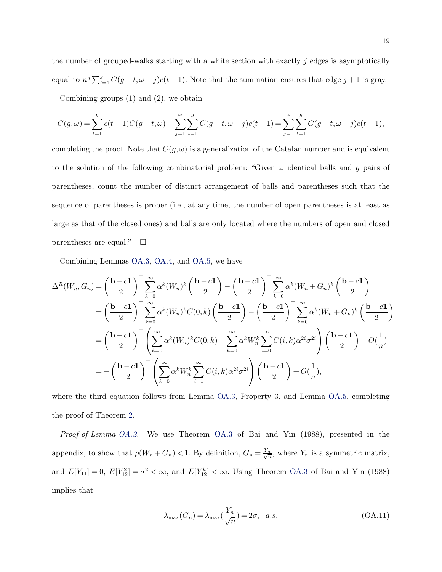the number of grouped-walks starting with a white section with exactly *j* edges is asymptotically equal to  $n^g \sum_{t=1}^g C(g-t, \omega-j)c(t-1)$ . Note that the summation ensures that edge  $j+1$  is gray. Combining groups (1) and (2), we obtain

$$
C(g,\omega) = \sum_{t=1}^{g} c(t-1)C(g-t,\omega) + \sum_{j=1}^{\omega} \sum_{t=1}^{g} C(g-t,\omega-j)c(t-1) = \sum_{j=0}^{\omega} \sum_{t=1}^{g} C(g-t,\omega-j)c(t-1),
$$

completing the proof. Note that  $C(g,\omega)$  is a generalization of the Catalan number and is equivalent to the solution of the following combinatorial problem: "Given  $\omega$  identical balls and *g* pairs of parentheses, count the number of distinct arrangement of balls and parentheses such that the sequence of parentheses is proper (i.e., at any time, the number of open parentheses is at least as large as that of the closed ones) and balls are only located where the numbers of open and closed parentheses are equal."  $\Box$ 

Combining Lemmas OA.3, OA.4, and OA.5, we have

$$
\Delta^{R}(W_{n},G_{n}) = \left(\frac{\mathbf{b}-c\mathbf{1}}{2}\right)^{\top}\sum_{k=0}^{\infty}\alpha^{k}(W_{n})^{k}\left(\frac{\mathbf{b}-c\mathbf{1}}{2}\right) - \left(\frac{\mathbf{b}-c\mathbf{1}}{2}\right)^{\top}\sum_{k=0}^{\infty}\alpha^{k}(W_{n}+G_{n})^{k}\left(\frac{\mathbf{b}-c\mathbf{1}}{2}\right)
$$

$$
= \left(\frac{\mathbf{b}-c\mathbf{1}}{2}\right)^{\top}\sum_{k=0}^{\infty}\alpha^{k}(W_{n})^{k}C(0,k)\left(\frac{\mathbf{b}-c\mathbf{1}}{2}\right) - \left(\frac{\mathbf{b}-c\mathbf{1}}{2}\right)^{\top}\sum_{k=0}^{\infty}\alpha^{k}(W_{n}+G_{n})^{k}\left(\frac{\mathbf{b}-c\mathbf{1}}{2}\right)
$$

$$
= \left(\frac{\mathbf{b}-c\mathbf{1}}{2}\right)^{\top}\left(\sum_{k=0}^{\infty}\alpha^{k}(W_{n})^{k}C(0,k) - \sum_{k=0}^{\infty}\alpha^{k}W_{n}^{k}\sum_{i=0}^{\infty}C(i,k)\alpha^{2i}\sigma^{2i}\right)\left(\frac{\mathbf{b}-c\mathbf{1}}{2}\right) + O(\frac{1}{n})
$$

$$
= -\left(\frac{\mathbf{b}-c\mathbf{1}}{2}\right)^{\top}\left(\sum_{k=0}^{\infty}\alpha^{k}W_{n}^{k}\sum_{i=1}^{\infty}C(i,k)\alpha^{2i}\sigma^{2i}\right)\left(\frac{\mathbf{b}-c\mathbf{1}}{2}\right) + O(\frac{1}{n}),
$$

where the third equation follows from Lemma OA.3, Property 3, and Lemma OA.5, completing the proof of Theorem 2.

*Proof of Lemma OA.2.* We use Theorem OA.3 of Bai and Yin (1988), presented in the appendix, to show that  $\rho(W_n + G_n) < 1$ . By definition,  $G_n = \frac{Y_n}{\sqrt{n}}$ , where  $Y_n$  is a symmetric matrix, and  $E[Y_{11}] = 0$ ,  $E[Y_{12}^2] = \sigma^2 < \infty$ , and  $E[Y_{12}^k] < \infty$ . Using Theorem OA.3 of Bai and Yin (1988) implies that

$$
\lambda_{\max}(G_n) = \lambda_{\max}\left(\frac{Y_n}{\sqrt{n}}\right) = 2\sigma, \quad a.s.
$$
\n(OA.11)